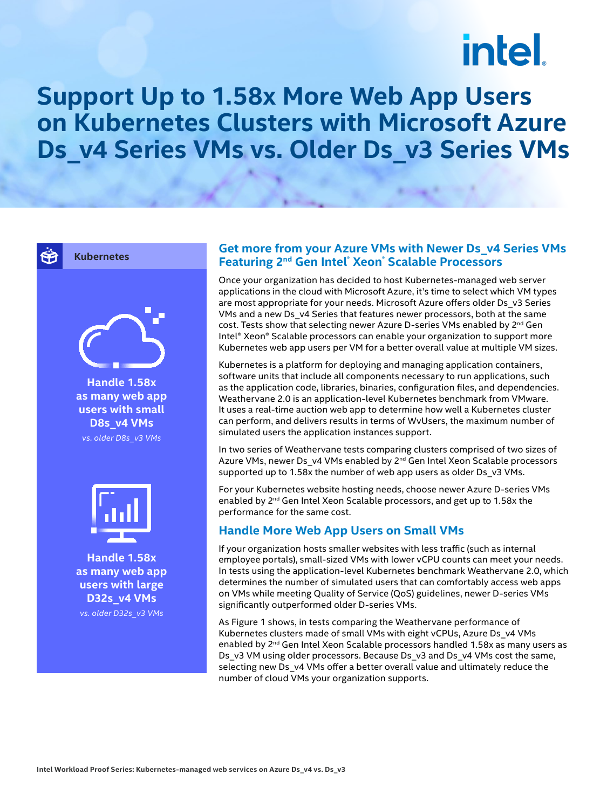# intel.

### **Support Up to 1.58x More Web App Users on Kubernetes Clusters with Microsoft Azure Ds\_v4 Series VMs vs. Older Ds\_v3 Series VMs**

¥

#### **Kubernetes**



**Handle 1.58x as many web app users with small D8s\_v4 VMs** *vs. older D8s\_v3 VMs*



**Handle 1.58x as many web app users with large D32s\_v4 VMs** *vs. older D32s\_v3 VMs*

#### **Get more from your Azure VMs with Newer Ds\_v4 Series VMs Featuring 2nd Gen Intel® Xeon® Scalable Processors**

Once your organization has decided to host Kubernetes-managed web server applications in the cloud with Microsoft Azure, it's time to select which VM types are most appropriate for your needs. Microsoft Azure offers older Ds\_v3 Series VMs and a new Ds\_v4 Series that features newer processors, both at the same cost. Tests show that selecting newer Azure D-series VMs enabled by 2<sup>nd</sup> Gen Intel® Xeon® Scalable processors can enable your organization to support more Kubernetes web app users per VM for a better overall value at multiple VM sizes.

Kubernetes is a platform for deploying and managing application containers, software units that include all components necessary to run applications, such as the application code, libraries, binaries, configuration files, and dependencies. Weathervane 2.0 is an application-level Kubernetes benchmark from VMware. It uses a real-time auction web app to determine how well a Kubernetes cluster can perform, and delivers results in terms of WvUsers, the maximum number of simulated users the application instances support.

In two series of Weathervane tests comparing clusters comprised of two sizes of Azure VMs, newer Ds\_v4 VMs enabled by 2<sup>nd</sup> Gen Intel Xeon Scalable processors supported up to 1.58x the number of web app users as older Ds\_v3 VMs.

For your Kubernetes website hosting needs, choose newer Azure D-series VMs enabled by 2<sup>nd</sup> Gen Intel Xeon Scalable processors, and get up to 1.58x the performance for the same cost.

#### **Handle More Web App Users on Small VMs**

If your organization hosts smaller websites with less traffic (such as internal employee portals), small-sized VMs with lower vCPU counts can meet your needs. In tests using the application-level Kubernetes benchmark Weathervane 2.0, which determines the number of simulated users that can comfortably access web apps on VMs while meeting Quality of Service (QoS) guidelines, newer D-series VMs significantly outperformed older D-series VMs.

As Figure 1 shows, in tests comparing the Weathervane performance of Kubernetes clusters made of small VMs with eight vCPUs, Azure Ds\_v4 VMs enabled by 2<sup>nd</sup> Gen Intel Xeon Scalable processors handled 1.58x as many users as Ds\_v3 VM using older processors. Because Ds\_v3 and Ds\_v4 VMs cost the same, selecting new Ds\_v4 VMs offer a better overall value and ultimately reduce the number of cloud VMs your organization supports.